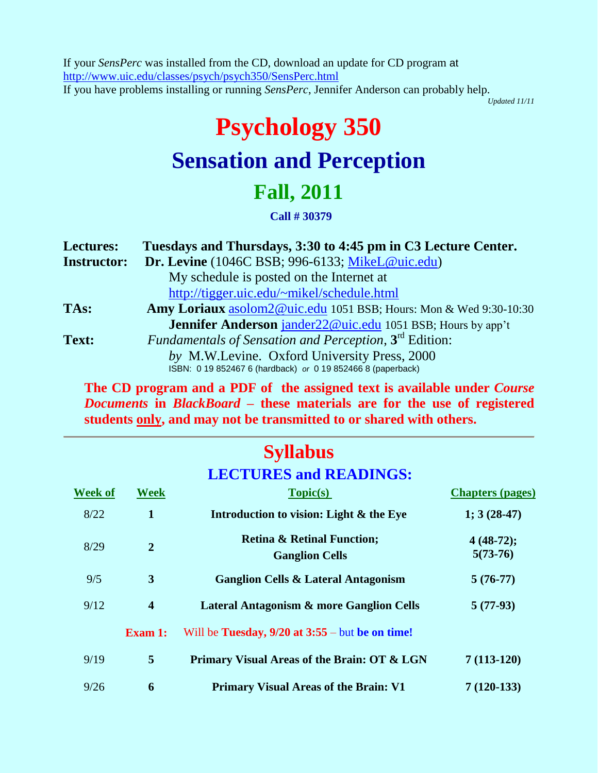If your *SensPerc* was installed from the CD, download an update for CD program at http://www.uic.edu/classes/psych/psych350/SensPerc.html If you have problems installing or running *SensPerc*, Jennifer Anderson can probably help.

*Updated 11/11*

# **Psychology 350 Sensation and Perception**

## **Fall, 2011**

#### **Call # 30379**

| <b>Lectures:</b>   | Tuesdays and Thursdays, 3:30 to 4:45 pm in C3 Lecture Center.      |
|--------------------|--------------------------------------------------------------------|
| <b>Instructor:</b> | Dr. Levine (1046C BSB; 996-6133; MikeL@uic.edu)                    |
|                    | My schedule is posted on the Internet at                           |
|                    | http://tigger.uic.edu/~mikel/schedule.html                         |
| TAs:               | Amy Loriaux asolom2@uic.edu 1051 BSB; Hours: Mon & Wed 9:30-10:30  |
|                    | <b>Jennifer Anderson</b> jander22@uic.edu 1051 BSB; Hours by app't |
| Text:              | Fundamentals of Sensation and Perception, 3 <sup>rd</sup> Edition: |
|                    | by M.W.Levine. Oxford University Press, 2000                       |
|                    | ISBN: 0 19 852467 6 (hardback) or 0 19 852466 8 (paperback)        |

**The CD program and a PDF of the assigned text is available under** *Course Documents* **in** *BlackBoard* **– these materials are for the use of registered students only, and may not be transmitted to or shared with others.**

## **Syllabus**

### **LECTURES and READINGS:**

| <b>Week of</b> | <b>Week</b>             | Topic(s)                                                       | <b>Chapters (pages)</b>   |
|----------------|-------------------------|----------------------------------------------------------------|---------------------------|
| 8/22           | 1                       | Introduction to vision: Light & the Eye                        | $1; 3(28-47)$             |
| 8/29           | $\overline{2}$          | <b>Retina &amp; Retinal Function;</b><br><b>Ganglion Cells</b> | $4(48-72);$<br>$5(73-76)$ |
| 9/5            | 3                       | <b>Ganglion Cells &amp; Lateral Antagonism</b>                 | $5(76-77)$                |
| 9/12           | $\overline{\mathbf{4}}$ | <b>Lateral Antagonism &amp; more Ganglion Cells</b>            | $5(77-93)$                |
|                | <b>Exam 1:</b>          | Will be Tuesday, $9/20$ at $3:55$ – but be on time!            |                           |
| 9/19           | 5                       | Primary Visual Areas of the Brain: OT & LGN                    | $7(113-120)$              |
| 9/26           | 6                       | <b>Primary Visual Areas of the Brain: V1</b>                   | $7(120-133)$              |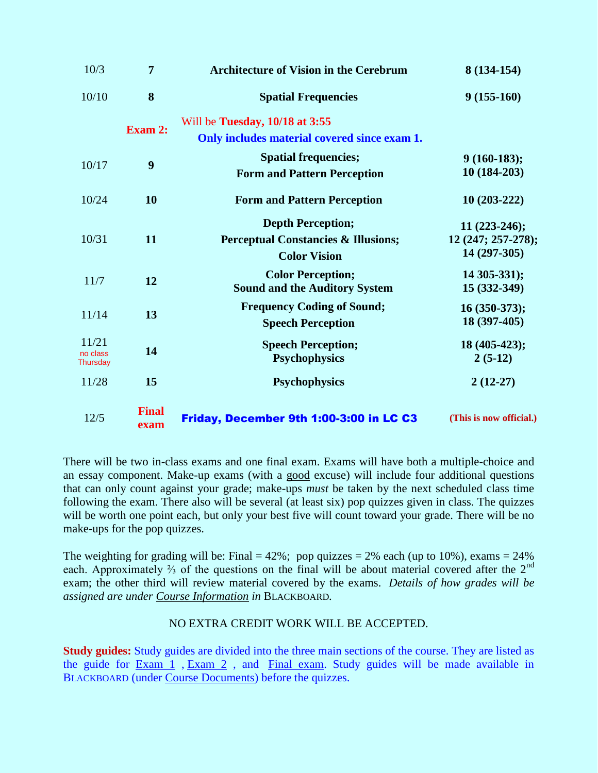| 10/3                 | $\overline{7}$       | <b>Architecture of Vision in the Cerebrum</b>  | 8 (134-154)             |
|----------------------|----------------------|------------------------------------------------|-------------------------|
| 10/10                | 8                    | <b>Spatial Frequencies</b>                     | $9(155-160)$            |
|                      |                      | Will be Tuesday, 10/18 at 3:55                 |                         |
|                      | <b>Exam 2:</b>       | Only includes material covered since exam 1.   |                         |
| 10/17                | 9                    | <b>Spatial frequencies;</b>                    | $9(160-183);$           |
|                      |                      | <b>Form and Pattern Perception</b>             | 10 (184-203)            |
| 10/24                | 10                   | <b>Form and Pattern Perception</b>             | $10(203-222)$           |
|                      |                      | <b>Depth Perception;</b>                       | $11(223-246);$          |
| 10/31                | 11                   | <b>Perceptual Constancies &amp; Illusions;</b> | 12 (247; 257-278);      |
|                      |                      | <b>Color Vision</b>                            | 14 (297-305)            |
| 11/7                 | 12                   | <b>Color Perception;</b>                       | 14 305-331);            |
|                      |                      | <b>Sound and the Auditory System</b>           | 15 (332-349)            |
| 11/14                | 13                   | <b>Frequency Coding of Sound;</b>              | 16 (350-373);           |
|                      |                      | <b>Speech Perception</b>                       | 18 (397-405)            |
| 11/21                | 14                   | <b>Speech Perception;</b>                      | 18 (405-423);           |
| no class<br>Thursday |                      | <b>Psychophysics</b>                           | $2(5-12)$               |
| 11/28                | 15                   | <b>Psychophysics</b>                           | $2(12-27)$              |
| 12/5                 | <b>Final</b><br>exam | Friday, December 9th 1:00-3:00 in LC C3        | (This is now official.) |

There will be two in-class exams and one final exam. Exams will have both a multiple-choice and an essay component. Make-up exams (with a good excuse) will include four additional questions that can only count against your grade; make-ups *must* be taken by the next scheduled class time following the exam. There also will be several (at least six) pop quizzes given in class. The quizzes will be worth one point each, but only your best five will count toward your grade. There will be no make-ups for the pop quizzes.

The weighting for grading will be: Final =  $42\%$ ; pop quizzes =  $2\%$  each (up to 10%), exams =  $24\%$ each. Approximately  $\frac{2}{3}$  of the questions on the final will be about material covered after the  $2^{nd}$ exam; the other third will review material covered by the exams. *Details of how grades will be assigned are under Course Information in* BLACKBOARD*.*

#### NO EXTRA CREDIT WORK WILL BE ACCEPTED.

**Study guides:** Study guides are divided into the three main sections of the course. They are listed as the guide for  $Exam_1$ ,  $Exam_2$ , and  $Final exam$ . Study guides will be made available in BLACKBOARD (under Course Documents) before the quizzes.